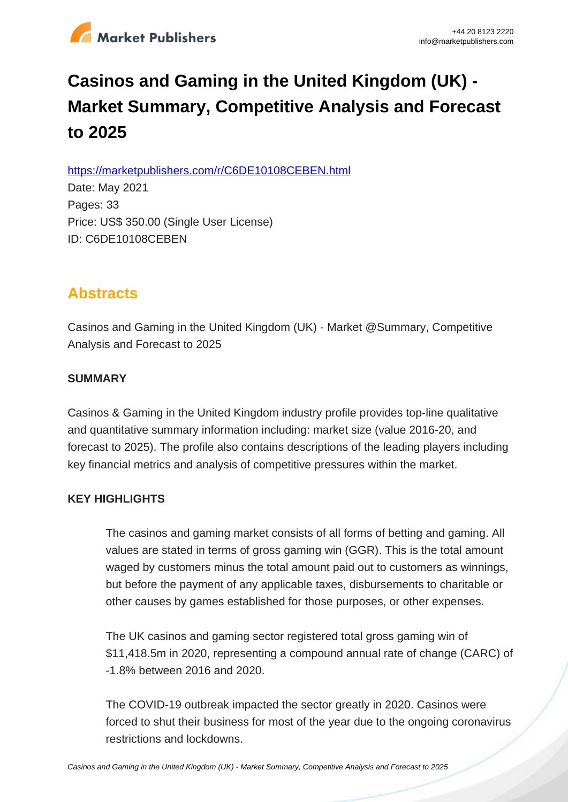

# **Casinos and Gaming in the United Kingdom (UK) - Market Summary, Competitive Analysis and Forecast to 2025**

https://marketpublishers.com/r/C6DE10108CEBEN.html

Date: May 2021 Pages: 33 Price: US\$ 350.00 (Single User License) ID: C6DE10108CEBEN

# **Abstracts**

Casinos and Gaming in the United Kingdom (UK) - Market @Summary, Competitive Analysis and Forecast to 2025

## **SUMMARY**

Casinos & Gaming in the United Kingdom industry profile provides top-line qualitative and quantitative summary information including: market size (value 2016-20, and forecast to 2025). The profile also contains descriptions of the leading players including key financial metrics and analysis of competitive pressures within the market.

## **KEY HIGHLIGHTS**

The casinos and gaming market consists of all forms of betting and gaming. All values are stated in terms of gross gaming win (GGR). This is the total amount waged by customers minus the total amount paid out to customers as winnings, but before the payment of any applicable taxes, disbursements to charitable or other causes by games established for those purposes, or other expenses.

The UK casinos and gaming sector registered total gross gaming win of \$11,418.5m in 2020, representing a compound annual rate of change (CARC) of -1.8% between 2016 and 2020.

The COVID-19 outbreak impacted the sector greatly in 2020. Casinos were forced to shut their business for most of the year due to the ongoing coronavirus restrictions and lockdowns.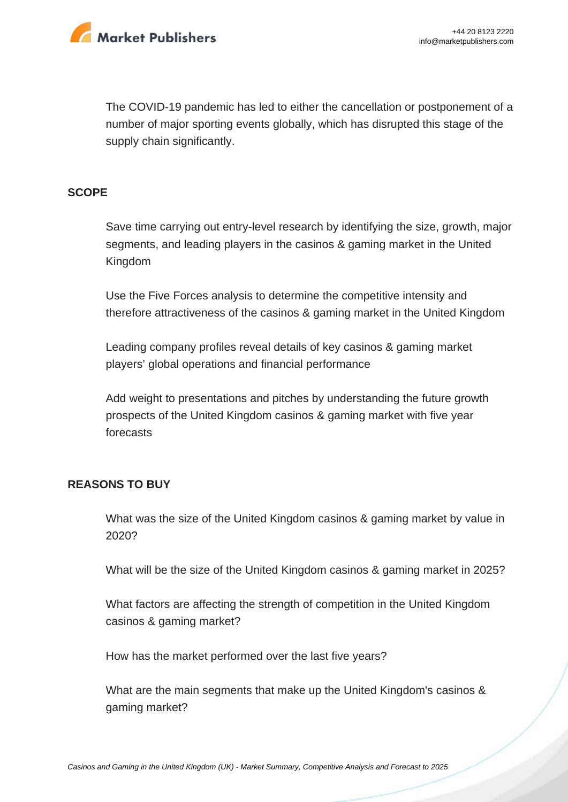

The COVID-19 pandemic has led to either the cancellation or postponement of a number of major sporting events globally, which has disrupted this stage of the supply chain significantly.

#### **SCOPE**

Save time carrying out entry-level research by identifying the size, growth, major segments, and leading players in the casinos & gaming market in the United Kingdom

Use the Five Forces analysis to determine the competitive intensity and therefore attractiveness of the casinos & gaming market in the United Kingdom

Leading company profiles reveal details of key casinos & gaming market players' global operations and financial performance

Add weight to presentations and pitches by understanding the future growth prospects of the United Kingdom casinos & gaming market with five year forecasts

#### **REASONS TO BUY**

What was the size of the United Kingdom casinos & gaming market by value in 2020?

What will be the size of the United Kingdom casinos & gaming market in 2025?

What factors are affecting the strength of competition in the United Kingdom casinos & gaming market?

How has the market performed over the last five years?

What are the main segments that make up the United Kingdom's casinos & gaming market?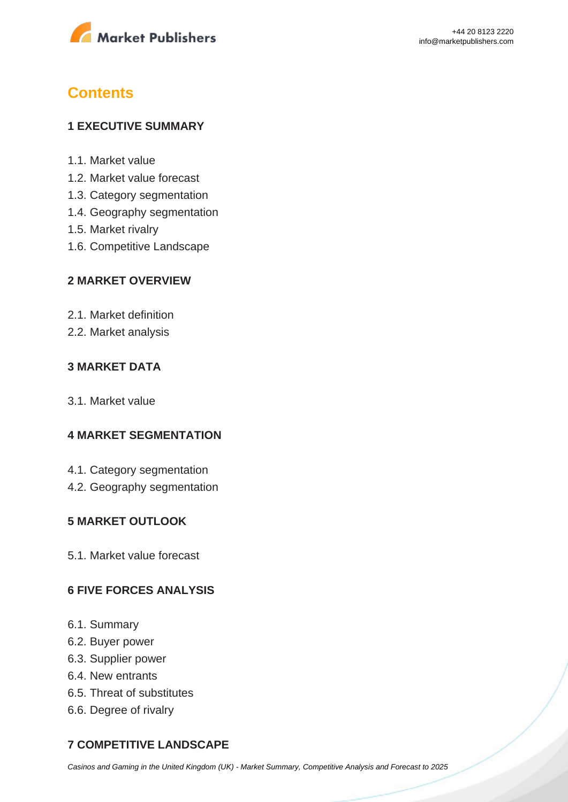

# **Contents**

#### **1 EXECUTIVE SUMMARY**

- 1.1. Market value
- 1.2. Market value forecast
- 1.3. Category segmentation
- 1.4. Geography segmentation
- 1.5. Market rivalry
- 1.6. Competitive Landscape

#### **2 MARKET OVERVIEW**

- 2.1. Market definition
- 2.2. Market analysis

#### **3 MARKET DATA**

3.1. Market value

#### **4 MARKET SEGMENTATION**

- 4.1. Category segmentation
- 4.2. Geography segmentation

#### **5 MARKET OUTLOOK**

5.1. Market value forecast

#### **6 FIVE FORCES ANALYSIS**

- 6.1. Summary
- 6.2. Buyer power
- 6.3. Supplier power
- 6.4. New entrants
- 6.5. Threat of substitutes
- 6.6. Degree of rivalry

## **7 COMPETITIVE LANDSCAPE**

[Casinos and Gaming in the United Kingdom \(UK\) - Market Summary, Competitive Analysis and Forecast to 2025](https://marketpublishers.com/report/media-entertainment/casino-gaming/casinos-n-gaming-in-united-kingdom-uk-market-summary-competitive-analysis-n-forecast-to-2025.html)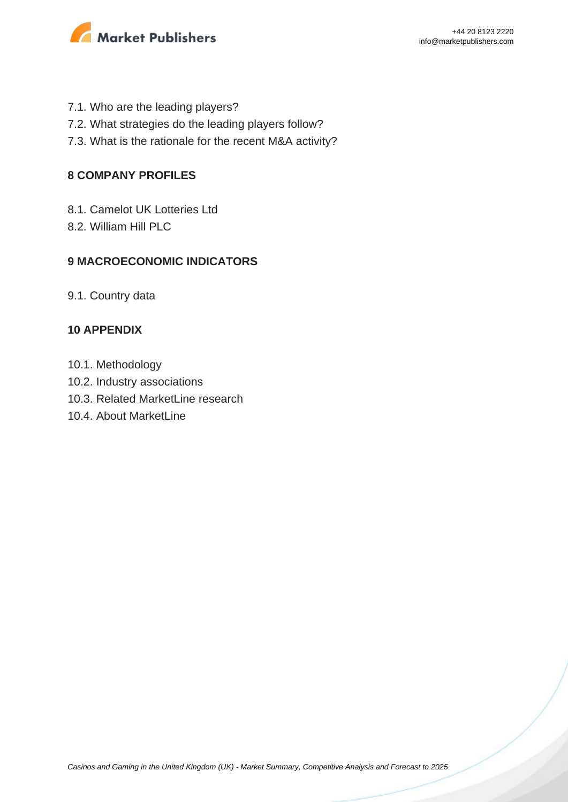

- 7.1. Who are the leading players?
- 7.2. What strategies do the leading players follow?
- 7.3. What is the rationale for the recent M&A activity?

#### **8 COMPANY PROFILES**

- 8.1. Camelot UK Lotteries Ltd
- 8.2. William Hill PLC

#### **9 MACROECONOMIC INDICATORS**

9.1. Country data

#### **10 APPENDIX**

- 10.1. Methodology
- 10.2. Industry associations
- 10.3. Related MarketLine research
- 10.4. About MarketLine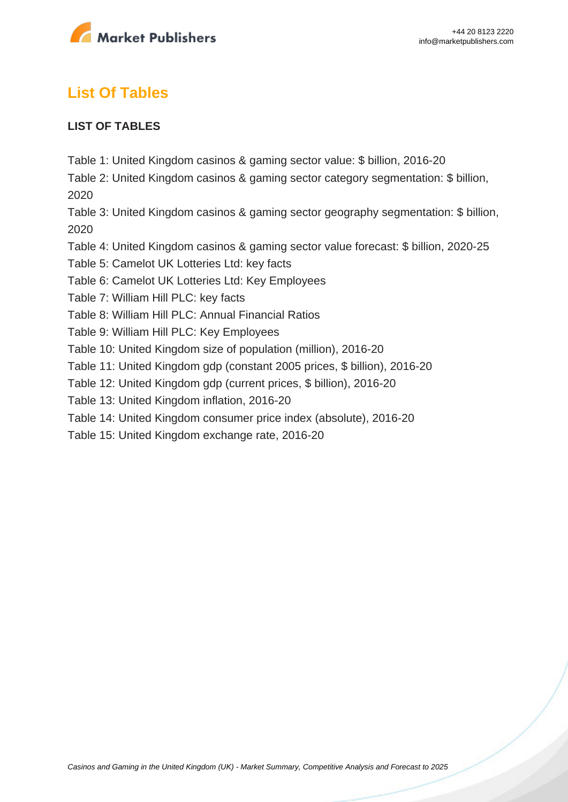

# **List Of Tables**

### **LIST OF TABLES**

Table 1: United Kingdom casinos & gaming sector value: \$ billion, 2016-20

Table 2: United Kingdom casinos & gaming sector category segmentation: \$ billion, 2020

Table 3: United Kingdom casinos & gaming sector geography segmentation: \$ billion, 2020

Table 4: United Kingdom casinos & gaming sector value forecast: \$ billion, 2020-25

Table 5: Camelot UK Lotteries Ltd: key facts

Table 6: Camelot UK Lotteries Ltd: Key Employees

Table 7: William Hill PLC: key facts

Table 8: William Hill PLC: Annual Financial Ratios

Table 9: William Hill PLC: Key Employees

Table 10: United Kingdom size of population (million), 2016-20

Table 11: United Kingdom gdp (constant 2005 prices, \$ billion), 2016-20

Table 12: United Kingdom gdp (current prices, \$ billion), 2016-20

Table 13: United Kingdom inflation, 2016-20

Table 14: United Kingdom consumer price index (absolute), 2016-20

Table 15: United Kingdom exchange rate, 2016-20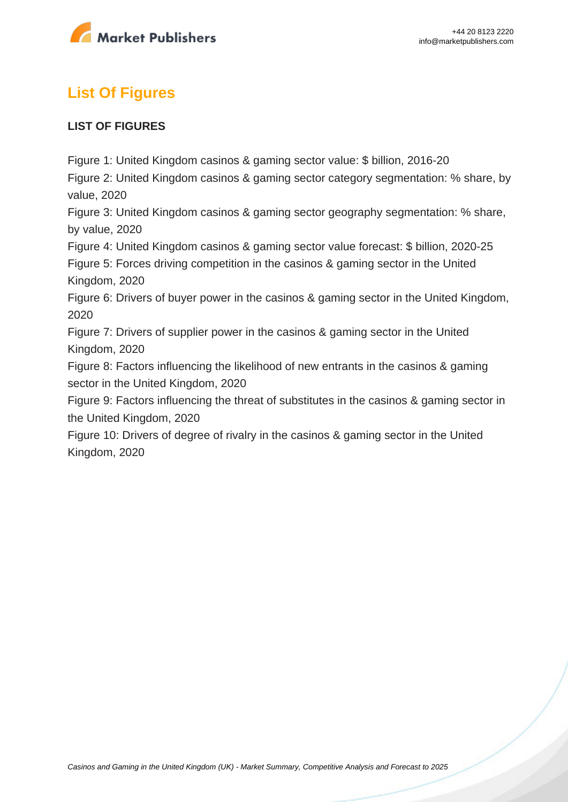

# **List Of Figures**

### **LIST OF FIGURES**

Figure 1: United Kingdom casinos & gaming sector value: \$ billion, 2016-20

Figure 2: United Kingdom casinos & gaming sector category segmentation: % share, by value, 2020

Figure 3: United Kingdom casinos & gaming sector geography segmentation: % share, by value, 2020

Figure 4: United Kingdom casinos & gaming sector value forecast: \$ billion, 2020-25

Figure 5: Forces driving competition in the casinos & gaming sector in the United Kingdom, 2020

Figure 6: Drivers of buyer power in the casinos & gaming sector in the United Kingdom, 2020

Figure 7: Drivers of supplier power in the casinos & gaming sector in the United Kingdom, 2020

Figure 8: Factors influencing the likelihood of new entrants in the casinos & gaming sector in the United Kingdom, 2020

Figure 9: Factors influencing the threat of substitutes in the casinos & gaming sector in the United Kingdom, 2020

Figure 10: Drivers of degree of rivalry in the casinos & gaming sector in the United Kingdom, 2020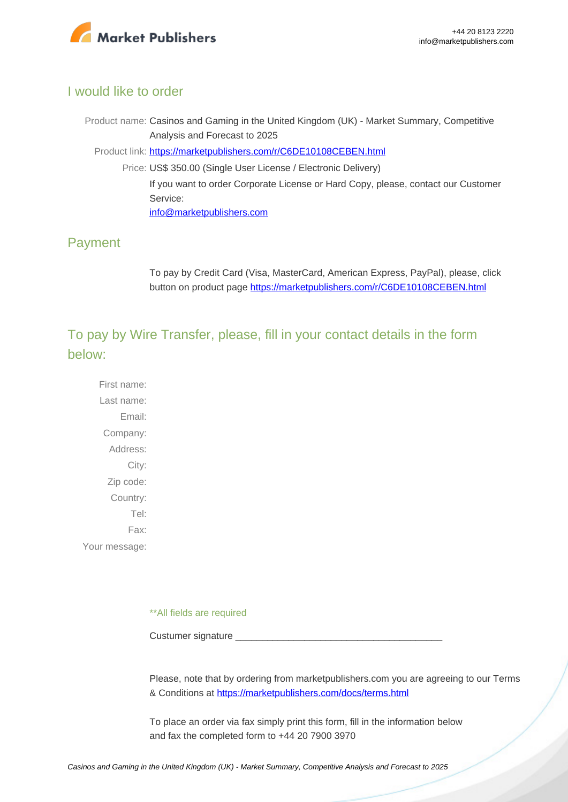

### I would like to order

Product name: Casinos and Gaming in the United Kingdom (UK) - Market Summary, Competitive Analysis and Forecast to 2025

Product link: [https://marketpublishers.com/r/C6DE10108CEBEN.html](https://marketpublishers.com/report/media-entertainment/casino-gaming/casinos-n-gaming-in-united-kingdom-uk-market-summary-competitive-analysis-n-forecast-to-2025.html)

Price: US\$ 350.00 (Single User License / Electronic Delivery) If you want to order Corporate License or Hard Copy, please, contact our Customer Service: [info@marketpublishers.com](mailto:info@marketpublishers.com)

# Payment

To pay by Credit Card (Visa, MasterCard, American Express, PayPal), please, click button on product page [https://marketpublishers.com/r/C6DE10108CEBEN.html](https://marketpublishers.com/report/media-entertainment/casino-gaming/casinos-n-gaming-in-united-kingdom-uk-market-summary-competitive-analysis-n-forecast-to-2025.html)

To pay by Wire Transfer, please, fill in your contact details in the form below:

First name: Last name: Email: Company: Address: City: Zip code: Country: Tel: Fax: Your message:

\*\*All fields are required

Custumer signature

Please, note that by ordering from marketpublishers.com you are agreeing to our Terms & Conditions at<https://marketpublishers.com/docs/terms.html>

To place an order via fax simply print this form, fill in the information below and fax the completed form to +44 20 7900 3970